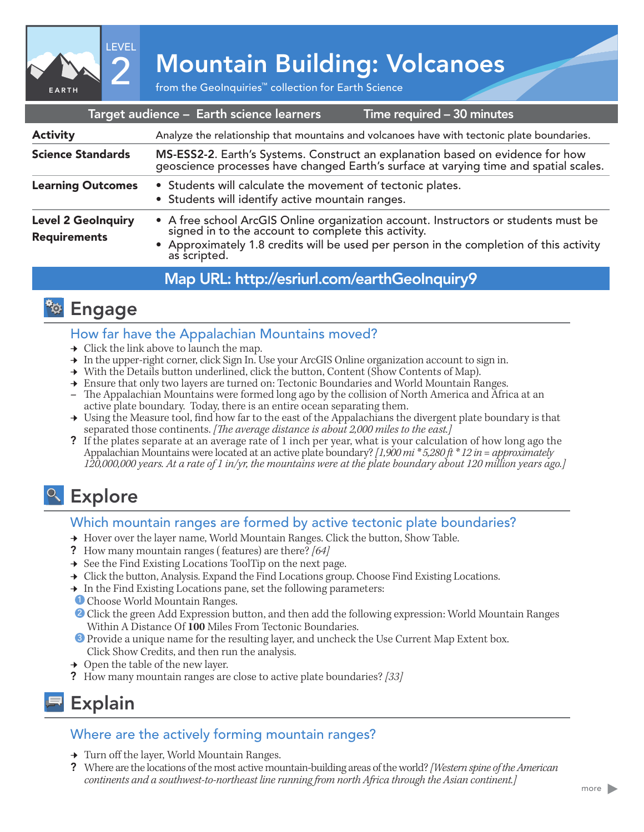

# 2 Mountain Building: Volcanoes

| Target audience - Earth science learners<br>Time required - 30 minutes |                                                                                                                                                                                                                                                   |
|------------------------------------------------------------------------|---------------------------------------------------------------------------------------------------------------------------------------------------------------------------------------------------------------------------------------------------|
| <b>Activity</b>                                                        | Analyze the relationship that mountains and volcanoes have with tectonic plate boundaries.                                                                                                                                                        |
| <b>Science Standards</b>                                               | MS-ESS2-2. Earth's Systems. Construct an explanation based on evidence for how<br>geoscience processes have changed Earth's surface at varying time and spatial scales.                                                                           |
| <b>Learning Outcomes</b>                                               | • Students will calculate the movement of tectonic plates.<br>• Students will identify active mountain ranges.                                                                                                                                    |
| <b>Level 2 GeoInquiry</b><br><b>Requirements</b>                       | • A free school ArcGIS Online organization account. Instructors or students must be signed in to the account to complete this activity.<br>• Approximately 1.8 credits will be used per person in the completion of this activity<br>as scripted. |
|                                                                        |                                                                                                                                                                                                                                                   |

### Map URL: http://esriurl.com/earthGeoInquiry9

### **<b>Engage**

#### How far have the Appalachian Mountains moved?

- $\rightarrow$  Click the link above to launch the map.
- → In the upper-right corner, click Sign In. Use your ArcGIS Online organization account to sign in.
- → With the Details button underlined, click the button, Content (Show Contents of Map).
- **→** Ensure that only two layers are turned on: Tectonic Boundaries and World Mountain Ranges.
- **–** The Appalachian Mountains were formed long ago by the collision of North America and Africa at an active plate boundary. Today, there is an entire ocean separating them.
- → Using the Measure tool, find how far to the east of the Appalachians the divergent plate boundary is that separated those continents. *[The average distance is about 2,000 miles to the east.]*
- ? If the plates separate at an average rate of 1 inch per year, what is your calculation of how long ago the Appalachian Mountains were located at an active plate boundary? *[1,900 mi \* 5,280 ft \* 12 in = approximately 120,000,000 years. At a rate of 1 in/yr, the mountains were at the plate boundary about 120 million years ago.]*

## <sup>o</sup> Explore

#### Which mountain ranges are formed by active tectonic plate boundaries?

- → Hover over the layer name, World Mountain Ranges. Click the button, Show Table.
- ? How many mountain ranges ( features) are there? *[64]*
- $\rightarrow$  See the Find Existing Locations ToolTip on the next page.
- → Click the button, Analysis. Expand the Find Locations group. Choose Find Existing Locations.
- → In the Find Existing Locations pane, set the following parameters:
- <sup>1</sup> Choose World Mountain Ranges.
- 2 Click the green Add Expression button, and then add the following expression: World Mountain Ranges Within A Distance Of **100** Miles From Tectonic Boundaries.
- **3** Provide a unique name for the resulting layer, and uncheck the Use Current Map Extent box. Click Show Credits, and then run the analysis.
- $\rightarrow$  Open the table of the new layer.
- ? How many mountain ranges are close to active plate boundaries? *[33]*

### Explain

### Where are the actively forming mountain ranges?

- **→** Turn off the layer, World Mountain Ranges.
- ? Where are the locations of the most active mountain-building areas of the world? *[Western spine of the American continents and a southwest-to-northeast line running from north Africa through the Asian continent.]*